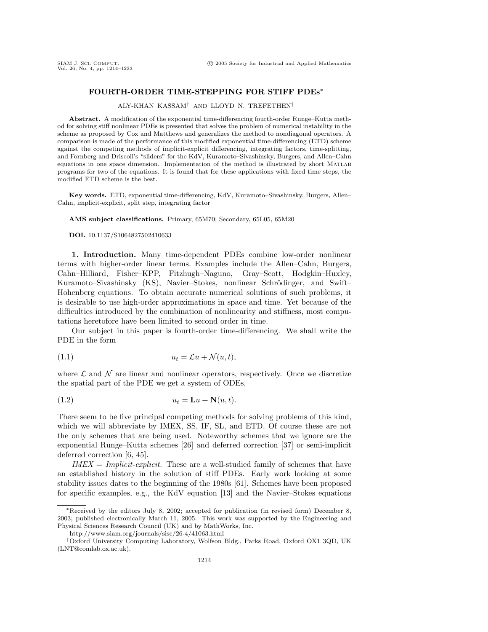## **FOURTH-ORDER TIME-STEPPING FOR STIFF PDEs**∗

## ALY-KHAN KASSAM† AND LLOYD N. TREFETHEN†

**Abstract.** A modification of the exponential time-differencing fourth-order Runge–Kutta method for solving stiff nonlinear PDEs is presented that solves the problem of numerical instability in the scheme as proposed by Cox and Matthews and generalizes the method to nondiagonal operators. A comparison is made of the performance of this modified exponential time-differencing (ETD) scheme against the competing methods of implicit-explicit differencing, integrating factors, time-splitting, and Fornberg and Driscoll's "sliders" for the KdV, Kuramoto–Sivashinsky, Burgers, and Allen–Cahn equations in one space dimension. Implementation of the method is illustrated by short Matlab programs for two of the equations. It is found that for these applications with fixed time steps, the modified ETD scheme is the best.

**Key words.** ETD, exponential time-differencing, KdV, Kuramoto–Sivashinsky, Burgers, Allen– Cahn, implicit-explicit, split step, integrating factor

**AMS subject classifications.** Primary, 65M70; Secondary, 65L05, 65M20

**DOI.** 10.1137/S1064827502410633

**1. Introduction.** Many time-dependent PDEs combine low-order nonlinear terms with higher-order linear terms. Examples include the Allen–Cahn, Burgers, Cahn–Hilliard, Fisher–KPP, Fitzhugh–Naguno, Gray–Scott, Hodgkin–Huxley, Kuramoto–Sivashinsky (KS), Navier–Stokes, nonlinear Schrödinger, and Swift– Hohenberg equations. To obtain accurate numerical solutions of such problems, it is desirable to use high-order approximations in space and time. Yet because of the difficulties introduced by the combination of nonlinearity and stiffness, most computations heretofore have been limited to second order in time.

Our subject in this paper is fourth-order time-differencing. We shall write the PDE in the form

$$
(1.1) \t\t u_t = \mathcal{L}u + \mathcal{N}(u, t),
$$

where  $\mathcal L$  and  $\mathcal N$  are linear and nonlinear operators, respectively. Once we discretize the spatial part of the PDE we get a system of ODEs,

$$
(1.2) \t\t\t u_t = \mathbf{L}u + \mathbf{N}(u, t).
$$

There seem to be five principal competing methods for solving problems of this kind, which we will abbreviate by IMEX, SS, IF, SL, and ETD. Of course these are not the only schemes that are being used. Noteworthy schemes that we ignore are the exponential Runge–Kutta schemes [26] and deferred correction [37] or semi-implicit deferred correction [6, 45].

 $IMEX = Implicit\text{-}explicit$ . These are a well-studied family of schemes that have an established history in the solution of stiff PDEs. Early work looking at some stability issues dates to the beginning of the 1980s [61]. Schemes have been proposed for specific examples, e.g., the KdV equation [13] and the Navier–Stokes equations

<sup>∗</sup>Received by the editors July 8, 2002; accepted for publication (in revised form) December 8, 2003; published electronically March 11, 2005. This work was supported by the Engineering and Physical Sciences Research Council (UK) and by MathWorks, Inc.

http://www.siam.org/journals/sisc/26-4/41063.html

<sup>†</sup>Oxford University Computing Laboratory, Wolfson Bldg., Parks Road, Oxford OX1 3QD, UK (LNT@comlab.ox.ac.uk).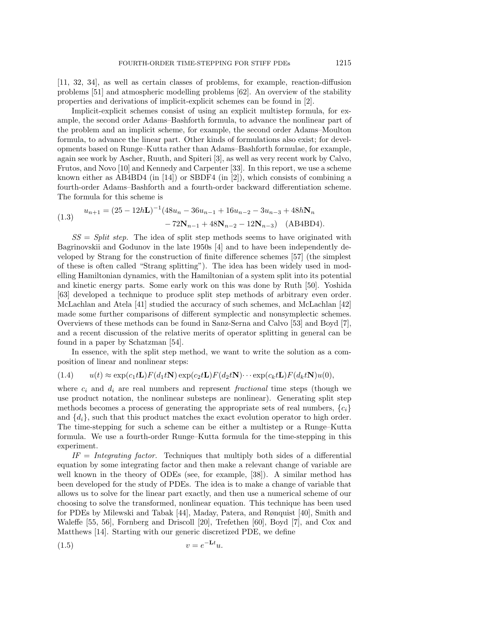[11, 32, 34], as well as certain classes of problems, for example, reaction-diffusion problems [51] and atmospheric modelling problems [62]. An overview of the stability properties and derivations of implicit-explicit schemes can be found in [2].

Implicit-explicit schemes consist of using an explicit multistep formula, for example, the second order Adams–Bashforth formula, to advance the nonlinear part of the problem and an implicit scheme, for example, the second order Adams–Moulton formula, to advance the linear part. Other kinds of formulations also exist; for developments based on Runge–Kutta rather than Adams–Bashforth formulae, for example, again see work by Ascher, Ruuth, and Spiteri [3], as well as very recent work by Calvo, Frutos, and Novo [10] and Kennedy and Carpenter [33]. In this report, we use a scheme known either as AB4BD4 (in  $[14]$ ) or SBDF4 (in  $[2]$ ), which consists of combining a fourth-order Adams–Bashforth and a fourth-order backward differentiation scheme. The formula for this scheme is

(1.3) 
$$
u_{n+1} = (25 - 12h\mathbf{L})^{-1}(48u_n - 36u_{n-1} + 16u_{n-2} - 3u_{n-3} + 48h\mathbf{N}_n - 72\mathbf{N}_{n-1} + 48\mathbf{N}_{n-2} - 12\mathbf{N}_{n-3})
$$
 (AB4BD4).

 $SS = Split\ step$ . The idea of split step methods seems to have originated with Bagrinovskii and Godunov in the late 1950s [4] and to have been independently developed by Strang for the construction of finite difference schemes [57] (the simplest of these is often called "Strang splitting"). The idea has been widely used in modelling Hamiltonian dynamics, with the Hamiltonian of a system split into its potential and kinetic energy parts. Some early work on this was done by Ruth [50]. Yoshida [63] developed a technique to produce split step methods of arbitrary even order. McLachlan and Atela [41] studied the accuracy of such schemes, and McLachlan [42] made some further comparisons of different symplectic and nonsymplectic schemes. Overviews of these methods can be found in Sanz-Serna and Calvo [53] and Boyd [7], and a recent discussion of the relative merits of operator splitting in general can be found in a paper by Schatzman [54].

In essence, with the split step method, we want to write the solution as a composition of linear and nonlinear steps:

(1.4) 
$$
u(t) \approx \exp(c_1 t \mathbf{L}) F(d_1 t \mathbf{N}) \exp(c_2 t \mathbf{L}) F(d_2 t \mathbf{N}) \cdots \exp(c_k t \mathbf{L}) F(d_k t \mathbf{N}) u(0),
$$

where  $c_i$  and  $d_i$  are real numbers and represent fractional time steps (though we use product notation, the nonlinear substeps are nonlinear). Generating split step methods becomes a process of generating the appropriate sets of real numbers,  ${c_i}$ and  $\{d_i\}$ , such that this product matches the exact evolution operator to high order. The time-stepping for such a scheme can be either a multistep or a Runge–Kutta formula. We use a fourth-order Runge–Kutta formula for the time-stepping in this experiment.

 $IF = Integrating factor.$  Techniques that multiply both sides of a differential equation by some integrating factor and then make a relevant change of variable are well known in the theory of ODEs (see, for example, [38]). A similar method has been developed for the study of PDEs. The idea is to make a change of variable that allows us to solve for the linear part exactly, and then use a numerical scheme of our choosing to solve the transformed, nonlinear equation. This technique has been used for PDEs by Milewski and Tabak [44], Maday, Patera, and Rønquist [40], Smith and Waleffe [55, 56], Fornberg and Driscoll [20], Trefethen [60], Boyd [7], and Cox and Matthews [14]. Starting with our generic discretized PDE, we define

$$
(1.5) \t\t v = e^{-\mathbf{L}t}u.
$$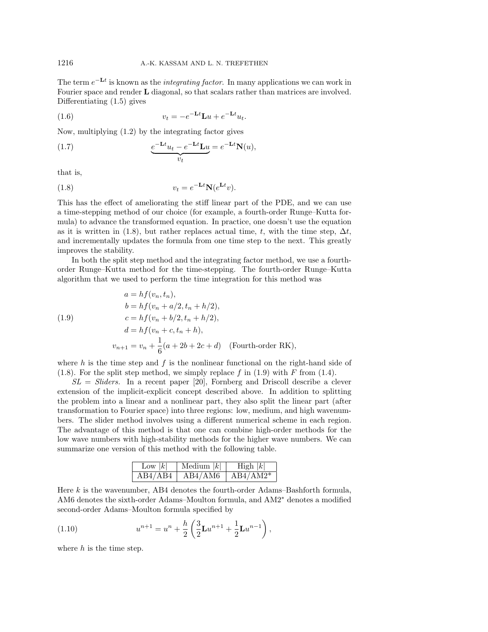The term  $e^{-\mathbf{L}t}$  is known as the *integrating factor*. In many applications we can work in Fourier space and render **L** diagonal, so that scalars rather than matrices are involved. Differentiating (1.5) gives

(1.6) 
$$
v_t = -e^{-\mathbf{L}t}\mathbf{L}u + e^{-\mathbf{L}t}u_t.
$$

Now, multiplying (1.2) by the integrating factor gives

(1.7) 
$$
\underbrace{e^{-\mathbf{L}t}u_t - e^{-\mathbf{L}t}\mathbf{L}u}_{v_t} = e^{-\mathbf{L}t}\mathbf{N}(u),
$$

that is,

(1.8) 
$$
v_t = e^{-\mathbf{L}t}\mathbf{N}(e^{\mathbf{L}t}v).
$$

This has the effect of ameliorating the stiff linear part of the PDE, and we can use a time-stepping method of our choice (for example, a fourth-order Runge–Kutta formula) to advance the transformed equation. In practice, one doesn't use the equation as it is written in (1.8), but rather replaces actual time, t, with the time step,  $\Delta t$ , and incrementally updates the formula from one time step to the next. This greatly improves the stability.

In both the split step method and the integrating factor method, we use a fourthorder Runge–Kutta method for the time-stepping. The fourth-order Runge–Kutta algorithm that we used to perform the time integration for this method was

(1.9)  
\n
$$
a = hf(v_n, t_n),
$$
\n
$$
b = hf(v_n + a/2, t_n + h/2),
$$
\n
$$
c = hf(v_n + b/2, t_n + h/2),
$$
\n
$$
d = hf(v_n + c, t_n + h),
$$
\n
$$
v_{n+1} = v_n + \frac{1}{6}(a + 2b + 2c + d) \quad \text{(Fourth-order RK)},
$$

where  $h$  is the time step and  $f$  is the nonlinear functional on the right-hand side of  $(1.8)$ . For the split step method, we simply replace f in  $(1.9)$  with F from  $(1.4)$ .

 $SL = Sliders$ . In a recent paper [20], Fornberg and Driscoll describe a clever extension of the implicit-explicit concept described above. In addition to splitting the problem into a linear and a nonlinear part, they also split the linear part (after transformation to Fourier space) into three regions: low, medium, and high wavenumbers. The slider method involves using a different numerical scheme in each region. The advantage of this method is that one can combine high-order methods for the low wave numbers with high-stability methods for the higher wave numbers. We can summarize one version of this method with the following table.

| Low $ k $ | Medium $ k $ | High $ k $ |
|-----------|--------------|------------|
| AB4/AB4   | AB4/AM6      | $AB4/AM2*$ |

Here k is the wavenumber, AB4 denotes the fourth-order Adams–Bashforth formula, AM6 denotes the sixth-order Adams–Moulton formula, and AM2<sup>∗</sup> denotes a modified second-order Adams–Moulton formula specified by

(1.10) 
$$
u^{n+1} = u^n + \frac{h}{2} \left( \frac{3}{2} \mathbf{L} u^{n+1} + \frac{1}{2} \mathbf{L} u^{n-1} \right),
$$

where  $h$  is the time step.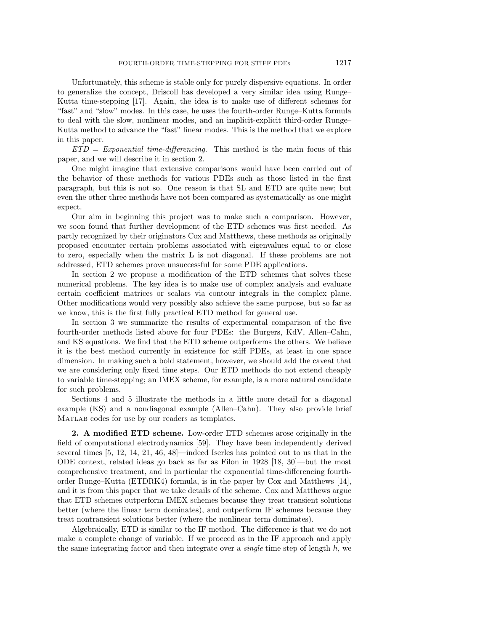Unfortunately, this scheme is stable only for purely dispersive equations. In order to generalize the concept, Driscoll has developed a very similar idea using Runge– Kutta time-stepping [17]. Again, the idea is to make use of different schemes for "fast" and "slow" modes. In this case, he uses the fourth-order Runge–Kutta formula to deal with the slow, nonlinear modes, and an implicit-explicit third-order Runge– Kutta method to advance the "fast" linear modes. This is the method that we explore in this paper.

 $ETD = Exponential time-differential$ . This method is the main focus of this paper, and we will describe it in section 2.

One might imagine that extensive comparisons would have been carried out of the behavior of these methods for various PDEs such as those listed in the first paragraph, but this is not so. One reason is that SL and ETD are quite new; but even the other three methods have not been compared as systematically as one might expect.

Our aim in beginning this project was to make such a comparison. However, we soon found that further development of the ETD schemes was first needed. As partly recognized by their originators Cox and Matthews, these methods as originally proposed encounter certain problems associated with eigenvalues equal to or close to zero, especially when the matrix **L** is not diagonal. If these problems are not addressed, ETD schemes prove unsuccessful for some PDE applications.

In section 2 we propose a modification of the ETD schemes that solves these numerical problems. The key idea is to make use of complex analysis and evaluate certain coefficient matrices or scalars via contour integrals in the complex plane. Other modifications would very possibly also achieve the same purpose, but so far as we know, this is the first fully practical ETD method for general use.

In section 3 we summarize the results of experimental comparison of the five fourth-order methods listed above for four PDEs: the Burgers, KdV, Allen–Cahn, and KS equations. We find that the ETD scheme outperforms the others. We believe it is the best method currently in existence for stiff PDEs, at least in one space dimension. In making such a bold statement, however, we should add the caveat that we are considering only fixed time steps. Our ETD methods do not extend cheaply to variable time-stepping; an IMEX scheme, for example, is a more natural candidate for such problems.

Sections 4 and 5 illustrate the methods in a little more detail for a diagonal example (KS) and a nondiagonal example (Allen–Cahn). They also provide brief MATLAB codes for use by our readers as templates.

**2. A modified ETD scheme.** Low-order ETD schemes arose originally in the field of computational electrodynamics [59]. They have been independently derived several times [5, 12, 14, 21, 46, 48]—indeed Iserles has pointed out to us that in the ODE context, related ideas go back as far as Filon in 1928 [18, 30]—but the most comprehensive treatment, and in particular the exponential time-differencing fourthorder Runge–Kutta (ETDRK4) formula, is in the paper by Cox and Matthews [14], and it is from this paper that we take details of the scheme. Cox and Matthews argue that ETD schemes outperform IMEX schemes because they treat transient solutions better (where the linear term dominates), and outperform IF schemes because they treat nontransient solutions better (where the nonlinear term dominates).

Algebraically, ETD is similar to the IF method. The difference is that we do not make a complete change of variable. If we proceed as in the IF approach and apply the same integrating factor and then integrate over a *single* time step of length  $h$ , we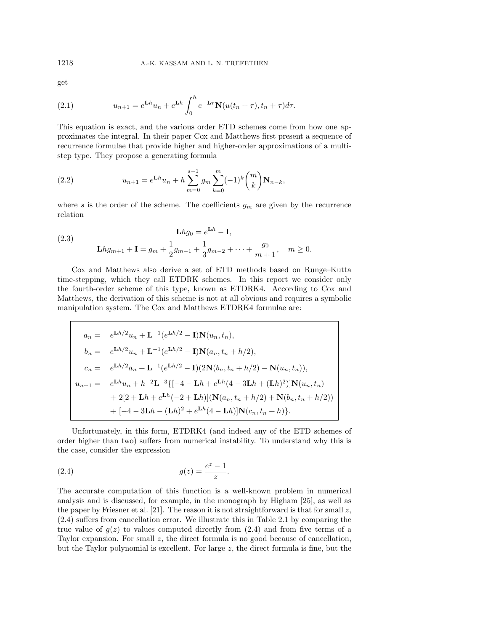get

(2.1) 
$$
u_{n+1} = e^{\mathbf{L}h}u_n + e^{\mathbf{L}h} \int_0^h e^{-\mathbf{L}\tau} \mathbf{N}(u(t_n + \tau), t_n + \tau) d\tau.
$$

This equation is exact, and the various order ETD schemes come from how one approximates the integral. In their paper Cox and Matthews first present a sequence of recurrence formulae that provide higher and higher-order approximations of a multistep type. They propose a generating formula

(2.2) 
$$
u_{n+1} = e^{\mathbf{L}h}u_n + h \sum_{m=0}^{s-1} g_m \sum_{k=0}^m (-1)^k \binom{m}{k} \mathbf{N}_{n-k},
$$

where s is the order of the scheme. The coefficients  $g_m$  are given by the recurrence relation

(2.3) 
$$
\mathbf{L}hg_0 = e^{\mathbf{L}h} - \mathbf{I},
$$

$$
\mathbf{L}hg_{m+1} + \mathbf{I} = g_m + \frac{1}{2}g_{m-1} + \frac{1}{3}g_{m-2} + \dots + \frac{g_0}{m+1}, \quad m \ge 0.
$$

Cox and Matthews also derive a set of ETD methods based on Runge–Kutta time-stepping, which they call ETDRK schemes. In this report we consider only the fourth-order scheme of this type, known as ETDRK4. According to Cox and Matthews, the derivation of this scheme is not at all obvious and requires a symbolic manipulation system. The Cox and Matthews ETDRK4 formulae are:

$$
a_n = e^{\mathbf{L}h/2}u_n + \mathbf{L}^{-1}(e^{\mathbf{L}h/2} - \mathbf{I})\mathbf{N}(u_n, t_n),
$$
  
\n
$$
b_n = e^{\mathbf{L}h/2}u_n + \mathbf{L}^{-1}(e^{\mathbf{L}h/2} - \mathbf{I})\mathbf{N}(a_n, t_n + h/2),
$$
  
\n
$$
c_n = e^{\mathbf{L}h/2}a_n + \mathbf{L}^{-1}(e^{\mathbf{L}h/2} - \mathbf{I})(2\mathbf{N}(b_n, t_n + h/2) - \mathbf{N}(u_n, t_n)),
$$
  
\n
$$
u_{n+1} = e^{\mathbf{L}h}u_n + h^{-2}\mathbf{L}^{-3}\{[-4 - \mathbf{L}h + e^{\mathbf{L}h}(4 - 3\mathbf{L}h + (\mathbf{L}h)^2)]\mathbf{N}(u_n, t_n) + 2[2 + \mathbf{L}h + e^{\mathbf{L}h}(-2 + \mathbf{L}h)](\mathbf{N}(a_n, t_n + h/2) + \mathbf{N}(b_n, t_n + h/2)) + [-4 - 3\mathbf{L}h - (\mathbf{L}h)^2 + e^{\mathbf{L}h}(4 - \mathbf{L}h)]\mathbf{N}(c_n, t_n + h)].
$$

Unfortunately, in this form, ETDRK4 (and indeed any of the ETD schemes of order higher than two) suffers from numerical instability. To understand why this is the case, consider the expression

(2.4) 
$$
g(z) = \frac{e^z - 1}{z}.
$$

The accurate computation of this function is a well-known problem in numerical analysis and is discussed, for example, in the monograph by Higham [25], as well as the paper by Friesner et al. [21]. The reason it is not straightforward is that for small  $z$ , (2.4) suffers from cancellation error. We illustrate this in Table 2.1 by comparing the true value of  $g(z)$  to values computed directly from (2.4) and from five terms of a Taylor expansion. For small z, the direct formula is no good because of cancellation, but the Taylor polynomial is excellent. For large z, the direct formula is fine, but the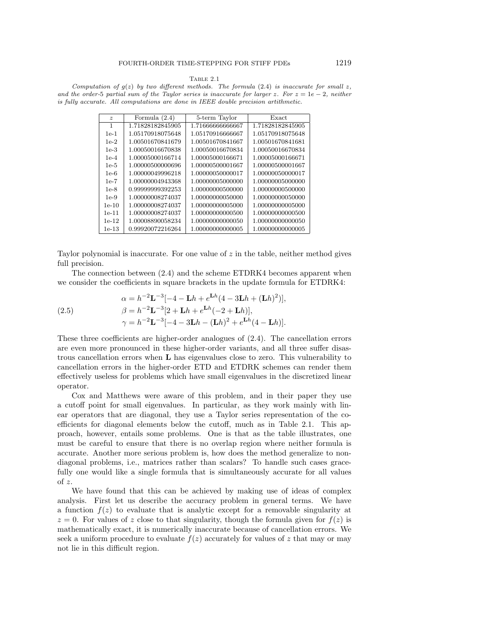| TABLE 2.1 |  |
|-----------|--|
|           |  |

Computation of  $q(z)$  by two different methods. The formula (2.4) is inaccurate for small z, and the order-5 partial sum of the Taylor series is inaccurate for larger z. For  $z = 1e - 2$ , neither is fully accurate. All computations are done in IEEE double precision artithmetic.

| $\tilde{z}$ | Formula $(2.4)$  | 5-term Taylor    | Exact            |
|-------------|------------------|------------------|------------------|
| 1           | 1.71828182845905 | 1.71666666666667 | 1.71828182845905 |
| $1e-1$      | 1.05170918075648 | 1.05170916666667 | 1.05170918075648 |
| $1e-2$      | 1.00501670841679 | 1.00501670841667 | 1.00501670841681 |
| $1e-3$      | 1.00050016670838 | 1.00050016670834 | 1.00050016670834 |
| $1e-4$      | 1.00005000166714 | 1.00005000166671 | 1.00005000166671 |
| $1e-5$      | 1.00000500000696 | 1.00000500001667 | 1.00000500001667 |
| $1e-6$      | 1.00000049996218 | 1.00000050000017 | 1.00000050000017 |
| $1e-7$      | 1.00000004943368 | 1.00000005000000 | 1.00000005000000 |
| $1e-8$      | 0.99999999392253 | 1.00000000500000 | 1.00000000500000 |
| $1e-9$      | 1.00000008274037 | 1.00000000050000 | 1.00000000050000 |
| $1e-10$     | 1.00000008274037 | 1.00000000005000 | 1.00000000005000 |
| $1e-11$     | 1.00000008274037 | 1.00000000000500 | 1.00000000000500 |
| $1e-12$     | 1.00008890058234 | 1.00000000000050 | 1.00000000000050 |
| $1e-13$     | 0.99920072216264 | 1.00000000000005 | 1.00000000000005 |

Taylor polynomial is inaccurate. For one value of  $z$  in the table, neither method gives full precision.

The connection between (2.4) and the scheme ETDRK4 becomes apparent when we consider the coefficients in square brackets in the update formula for ETDRK4:

(2.5) 
$$
\alpha = h^{-2} \mathbf{L}^{-3} [-4 - \mathbf{L}h + e^{\mathbf{L}h} (4 - 3\mathbf{L}h + (\mathbf{L}h)^2)],
$$

$$
\beta = h^{-2} \mathbf{L}^{-3} [2 + \mathbf{L}h + e^{\mathbf{L}h} (-2 + \mathbf{L}h)],
$$

$$
\gamma = h^{-2} \mathbf{L}^{-3} [-4 - 3\mathbf{L}h - (\mathbf{L}h)^2 + e^{\mathbf{L}h} (4 - \mathbf{L}h)].
$$

These three coefficients are higher-order analogues of (2.4). The cancellation errors are even more pronounced in these higher-order variants, and all three suffer disastrous cancellation errors when **L** has eigenvalues close to zero. This vulnerability to cancellation errors in the higher-order ETD and ETDRK schemes can render them effectively useless for problems which have small eigenvalues in the discretized linear operator.

Cox and Matthews were aware of this problem, and in their paper they use a cutoff point for small eigenvalues. In particular, as they work mainly with linear operators that are diagonal, they use a Taylor series representation of the coefficients for diagonal elements below the cutoff, much as in Table 2.1. This approach, however, entails some problems. One is that as the table illustrates, one must be careful to ensure that there is no overlap region where neither formula is accurate. Another more serious problem is, how does the method generalize to nondiagonal problems, i.e., matrices rather than scalars? To handle such cases gracefully one would like a single formula that is simultaneously accurate for all values of  $z$ .

We have found that this can be achieved by making use of ideas of complex analysis. First let us describe the accuracy problem in general terms. We have a function  $f(z)$  to evaluate that is analytic except for a removable singularity at  $z = 0$ . For values of z close to that singularity, though the formula given for  $f(z)$  is mathematically exact, it is numerically inaccurate because of cancellation errors. We seek a uniform procedure to evaluate  $f(z)$  accurately for values of z that may or may not lie in this difficult region.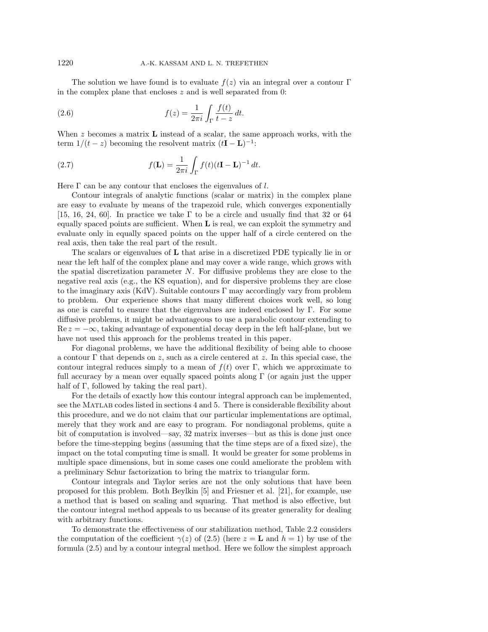The solution we have found is to evaluate  $f(z)$  via an integral over a contour Γ in the complex plane that encloses z and is well separated from 0:

(2.6) 
$$
f(z) = \frac{1}{2\pi i} \int_{\Gamma} \frac{f(t)}{t - z} dt.
$$

When z becomes a matrix **L** instead of a scalar, the same approach works, with the term  $1/(t - z)$  becoming the resolvent matrix  $(t**I** – **L**)<sup>-1</sup>$ :

(2.7) 
$$
f(\mathbf{L}) = \frac{1}{2\pi i} \int_{\Gamma} f(t) (t\mathbf{I} - \mathbf{L})^{-1} dt.
$$

Here  $\Gamma$  can be any contour that encloses the eigenvalues of l.

Contour integrals of analytic functions (scalar or matrix) in the complex plane are easy to evaluate by means of the trapezoid rule, which converges exponentially [15, 16, 24, 60]. In practice we take  $\Gamma$  to be a circle and usually find that 32 or 64 equally spaced points are sufficient. When **L** is real, we can exploit the symmetry and evaluate only in equally spaced points on the upper half of a circle centered on the real axis, then take the real part of the result.

The scalars or eigenvalues of **L** that arise in a discretized PDE typically lie in or near the left half of the complex plane and may cover a wide range, which grows with the spatial discretization parameter  $N$ . For diffusive problems they are close to the negative real axis (e.g., the KS equation), and for dispersive problems they are close to the imaginary axis (KdV). Suitable contours  $\Gamma$  may accordingly vary from problem to problem. Our experience shows that many different choices work well, so long as one is careful to ensure that the eigenvalues are indeed enclosed by Γ. For some diffusive problems, it might be advantageous to use a parabolic contour extending to  $\text{Re } z = -\infty$ , taking advantage of exponential decay deep in the left half-plane, but we have not used this approach for the problems treated in this paper.

For diagonal problems, we have the additional flexibility of being able to choose a contour  $\Gamma$  that depends on z, such as a circle centered at z. In this special case, the contour integral reduces simply to a mean of  $f(t)$  over Γ, which we approximate to full accuracy by a mean over equally spaced points along  $\Gamma$  (or again just the upper half of Γ, followed by taking the real part).

For the details of exactly how this contour integral approach can be implemented, see the Matlab codes listed in sections 4 and 5. There is considerable flexibility about this procedure, and we do not claim that our particular implementations are optimal, merely that they work and are easy to program. For nondiagonal problems, quite a bit of computation is involved—say, 32 matrix inverses—but as this is done just once before the time-stepping begins (assuming that the time steps are of a fixed size), the impact on the total computing time is small. It would be greater for some problems in multiple space dimensions, but in some cases one could ameliorate the problem with a preliminary Schur factorization to bring the matrix to triangular form.

Contour integrals and Taylor series are not the only solutions that have been proposed for this problem. Both Beylkin [5] and Friesner et al. [21], for example, use a method that is based on scaling and squaring. That method is also effective, but the contour integral method appeals to us because of its greater generality for dealing with arbitrary functions.

To demonstrate the effectiveness of our stabilization method, Table 2.2 considers the computation of the coefficient  $\gamma(z)$  of (2.5) (here  $z = L$  and  $h = 1$ ) by use of the formula (2.5) and by a contour integral method. Here we follow the simplest approach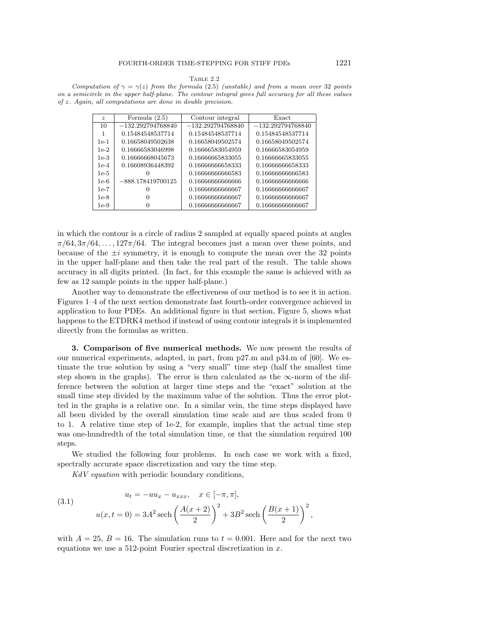| . . |  |
|-----|--|
|-----|--|

Computation of  $\gamma = \gamma(z)$  from the formula (2.5) (unstable) and from a mean over 32 points on a semicircle in the upper half-plane. The contour integral gives full accuracy for all these values of z. Again, all computations are done in double precision.

| $\tilde{z}$ | Formula $(2.5)$     | Contour integral    | Exact               |
|-------------|---------------------|---------------------|---------------------|
| 10          | $-132.292794768840$ | $-132.292794768840$ | $-132.292794768840$ |
| 1           | 0.15484548537714    | 0.15484548537714    | 0.15484548537714    |
| $1e-1$      | 0.16658049502638    | 0.16658049502574    | 0.16658049502574    |
| $1e-2$      | 0.16666583046998    | 0.16666583054959    | 0.16666583054959    |
| $1e-3$      | 0.16666668045673    | 0.16666665833055    | 0.16666665833055    |
| $1e-4$      | 0.16608936448392    | 0.1666666658333     | 0.16666666658333    |
| $1e-5$      | $\mathbf{0}$        | 0.16666666666583    | 0.1666666666583     |
| $1e-6$      | $-888.178419700125$ | 0.16666666666666    | 0.1666666666666     |
| $1e-7$      | O                   | 0.16666666666667    | 0.1666666666667     |
| $1e-8$      |                     | 0.16666666666667    | 0.1666666666667     |
| $1e-9$      |                     | 0.1666666666667     | 0.1666666666667     |

in which the contour is a circle of radius 2 sampled at equally spaced points at angles  $\pi/64, 3\pi/64,\ldots, 127\pi/64$ . The integral becomes just a mean over these points, and because of the  $\pm i$  symmetry, it is enough to compute the mean over the 32 points in the upper half-plane and then take the real part of the result. The table shows accuracy in all digits printed. (In fact, for this example the same is achieved with as few as 12 sample points in the upper half-plane.)

Another way to demonstrate the effectiveness of our method is to see it in action. Figures 1–4 of the next section demonstrate fast fourth-order convergence achieved in application to four PDEs. An additional figure in that section, Figure 5, shows what happens to the ETDRK4 method if instead of using contour integrals it is implemented directly from the formulas as written.

**3. Comparison of five numerical methods.** We now present the results of our numerical experiments, adapted, in part, from p27.m and p34.m of [60]. We estimate the true solution by using a "very small" time step (half the smallest time step shown in the graphs). The error is then calculated as the  $\infty$ -norm of the difference between the solution at larger time steps and the "exact" solution at the small time step divided by the maximum value of the solution. Thus the error plotted in the graphs is a relative one. In a similar vein, the time steps displayed have all been divided by the overall simulation time scale and are thus scaled from 0 to 1. A relative time step of 1e-2, for example, implies that the actual time step was one-hundredth of the total simulation time, or that the simulation required 100 steps.

We studied the following four problems. In each case we work with a fixed, spectrally accurate space discretization and vary the time step.

KdV equation with periodic boundary conditions,

(3.1) 
$$
u_t = -uu_x - u_{xxx}, \quad x \in [-\pi, \pi],
$$

$$
u(x, t = 0) = 3A^2 \operatorname{sech}\left(\frac{A(x+2)}{2}\right)^2 + 3B^2 \operatorname{sech}\left(\frac{B(x+1)}{2}\right)^2,
$$

with  $A = 25$ ,  $B = 16$ . The simulation runs to  $t = 0.001$ . Here and for the next two equations we use a 512-point Fourier spectral discretization in  $x$ .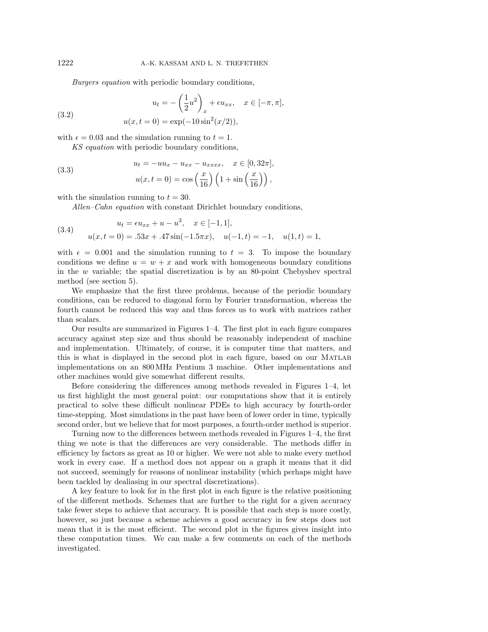Burgers equation with periodic boundary conditions,

(3.2) 
$$
u_t = -\left(\frac{1}{2}u^2\right)_x + \epsilon u_{xx}, \quad x \in [-\pi, \pi],
$$

$$
u(x, t = 0) = \exp(-10\sin^2(x/2)),
$$

with  $\epsilon = 0.03$  and the simulation running to  $t = 1$ .

KS equation with periodic boundary conditions,

(3.3) 
$$
u_t = -uu_x - u_{xx} - u_{xxxx}, \quad x \in [0, 32\pi],
$$

$$
u(x, t = 0) = \cos\left(\frac{x}{16}\right) \left(1 + \sin\left(\frac{x}{16}\right)\right),
$$

with the simulation running to  $t = 30$ .

Allen–Cahn equation with constant Dirichlet boundary conditions,

(3.4) 
$$
u_t = \epsilon u_{xx} + u - u^3, \quad x \in [-1, 1],
$$

$$
u(x, t = 0) = .53x + .47\sin(-1.5\pi x), \quad u(-1, t) = -1, \quad u(1, t) = 1,
$$

with  $\epsilon = 0.001$  and the simulation running to  $t = 3$ . To impose the boundary conditions we define  $u = w + x$  and work with homogeneous boundary conditions in the  $w$  variable; the spatial discretization is by an 80-point Chebyshev spectral method (see section 5).

We emphasize that the first three problems, because of the periodic boundary conditions, can be reduced to diagonal form by Fourier transformation, whereas the fourth cannot be reduced this way and thus forces us to work with matrices rather than scalars.

Our results are summarized in Figures 1–4. The first plot in each figure compares accuracy against step size and thus should be reasonably independent of machine and implementation. Ultimately, of course, it is computer time that matters, and this is what is displayed in the second plot in each figure, based on our Matlab implementations on an 800 MHz Pentium 3 machine. Other implementations and other machines would give somewhat different results.

Before considering the differences among methods revealed in Figures 1–4, let us first highlight the most general point: our computations show that it is entirely practical to solve these difficult nonlinear PDEs to high accuracy by fourth-order time-stepping. Most simulations in the past have been of lower order in time, typically second order, but we believe that for most purposes, a fourth-order method is superior.

Turning now to the differences between methods revealed in Figures 1–4, the first thing we note is that the differences are very considerable. The methods differ in efficiency by factors as great as 10 or higher. We were not able to make every method work in every case. If a method does not appear on a graph it means that it did not succeed, seemingly for reasons of nonlinear instability (which perhaps might have been tackled by dealiasing in our spectral discretizations).

A key feature to look for in the first plot in each figure is the relative positioning of the different methods. Schemes that are further to the right for a given accuracy take fewer steps to achieve that accuracy. It is possible that each step is more costly, however, so just because a scheme achieves a good accuracy in few steps does not mean that it is the most efficient. The second plot in the figures gives insight into these computation times. We can make a few comments on each of the methods investigated.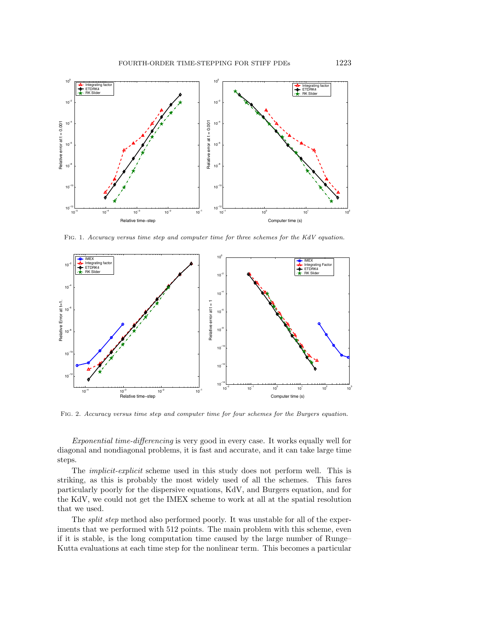

Fig. 1. Accuracy versus time step and computer time for three schemes for the KdV equation.



Fig. 2. Accuracy versus time step and computer time for four schemes for the Burgers equation.

Exponential time-differencing is very good in every case. It works equally well for diagonal and nondiagonal problems, it is fast and accurate, and it can take large time steps.

The *implicit-explicit* scheme used in this study does not perform well. This is striking, as this is probably the most widely used of all the schemes. This fares particularly poorly for the dispersive equations, KdV, and Burgers equation, and for the KdV, we could not get the IMEX scheme to work at all at the spatial resolution that we used.

The *split step* method also performed poorly. It was unstable for all of the experiments that we performed with 512 points. The main problem with this scheme, even if it is stable, is the long computation time caused by the large number of Runge– Kutta evaluations at each time step for the nonlinear term. This becomes a particular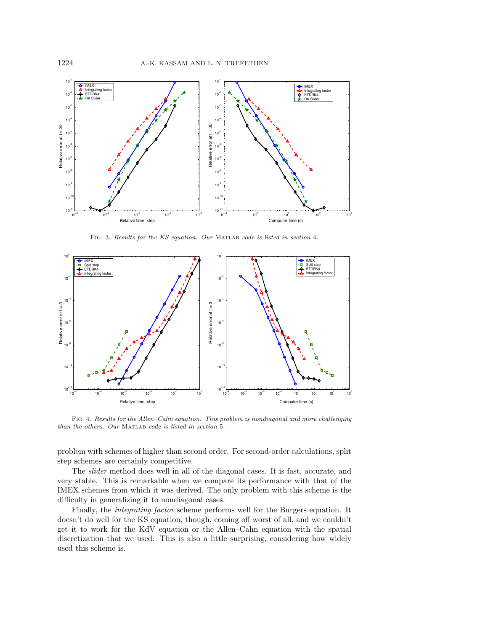

FIG. 3. Results for the KS equation. Our MATLAB code is listed in section 4.



Fig. 4. Results for the Allen–Cahn equation. This problem is nondiagonal and more challenging than the others. Our MATLAB code is listed in section 5.

problem with schemes of higher than second order. For second-order calculations, split step schemes are certainly competitive.

The slider method does well in all of the diagonal cases. It is fast, accurate, and very stable. This is remarkable when we compare its performance with that of the IMEX schemes from which it was derived. The only problem with this scheme is the difficulty in generalizing it to nondiagonal cases.

Finally, the integrating factor scheme performs well for the Burgers equation. It doesn't do well for the KS equation, though, coming off worst of all, and we couldn't get it to work for the KdV equation or the Allen–Cahn equation with the spatial discretization that we used. This is also a little surprising, considering how widely used this scheme is.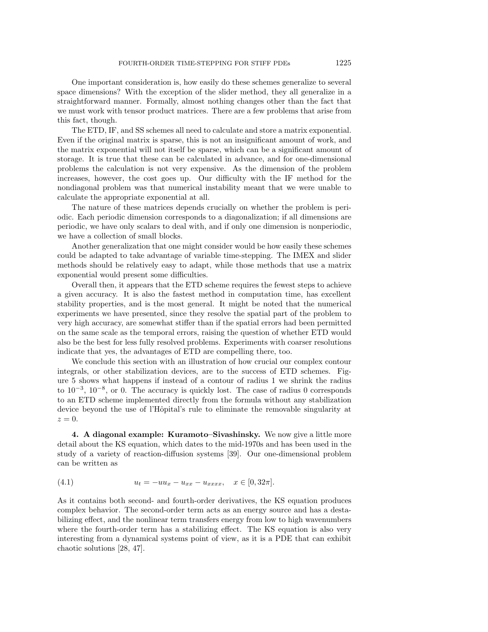One important consideration is, how easily do these schemes generalize to several space dimensions? With the exception of the slider method, they all generalize in a straightforward manner. Formally, almost nothing changes other than the fact that we must work with tensor product matrices. There are a few problems that arise from this fact, though.

The ETD, IF, and SS schemes all need to calculate and store a matrix exponential. Even if the original matrix is sparse, this is not an insignificant amount of work, and the matrix exponential will not itself be sparse, which can be a significant amount of storage. It is true that these can be calculated in advance, and for one-dimensional problems the calculation is not very expensive. As the dimension of the problem increases, however, the cost goes up. Our difficulty with the IF method for the nondiagonal problem was that numerical instability meant that we were unable to calculate the appropriate exponential at all.

The nature of these matrices depends crucially on whether the problem is periodic. Each periodic dimension corresponds to a diagonalization; if all dimensions are periodic, we have only scalars to deal with, and if only one dimension is nonperiodic, we have a collection of small blocks.

Another generalization that one might consider would be how easily these schemes could be adapted to take advantage of variable time-stepping. The IMEX and slider methods should be relatively easy to adapt, while those methods that use a matrix exponential would present some difficulties.

Overall then, it appears that the ETD scheme requires the fewest steps to achieve a given accuracy. It is also the fastest method in computation time, has excellent stability properties, and is the most general. It might be noted that the numerical experiments we have presented, since they resolve the spatial part of the problem to very high accuracy, are somewhat stiffer than if the spatial errors had been permitted on the same scale as the temporal errors, raising the question of whether ETD would also be the best for less fully resolved problems. Experiments with coarser resolutions indicate that yes, the advantages of ETD are compelling there, too.

We conclude this section with an illustration of how crucial our complex contour integrals, or other stabilization devices, are to the success of ETD schemes. Figure 5 shows what happens if instead of a contour of radius 1 we shrink the radius to 10−<sup>3</sup>, 10−<sup>8</sup>, or 0. The accuracy is quickly lost. The case of radius 0 corresponds to an ETD scheme implemented directly from the formula without any stabilization device beyond the use of l'Hôpital's rule to eliminate the removable singularity at  $z=0.$ 

**4. A diagonal example: Kuramoto–Sivashinsky.** We now give a little more detail about the KS equation, which dates to the mid-1970s and has been used in the study of a variety of reaction-diffusion systems [39]. Our one-dimensional problem can be written as

(4.1) 
$$
u_t = -uu_x - u_{xx} - u_{xxxx}, \quad x \in [0, 32\pi].
$$

As it contains both second- and fourth-order derivatives, the KS equation produces complex behavior. The second-order term acts as an energy source and has a destabilizing effect, and the nonlinear term transfers energy from low to high wavenumbers where the fourth-order term has a stabilizing effect. The KS equation is also very interesting from a dynamical systems point of view, as it is a PDE that can exhibit chaotic solutions [28, 47].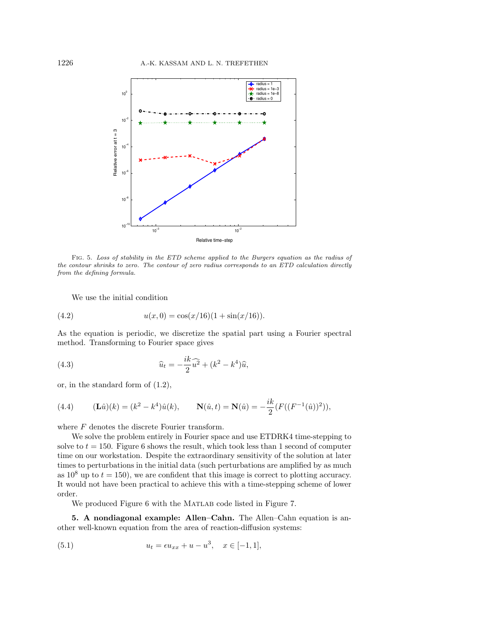

Fig. 5. Loss of stability in the ETD scheme applied to the Burgers equation as the radius of the contour shrinks to zero. The contour of zero radius corresponds to an ETD calculation directly from the defining formula.

We use the initial condition

(4.2) 
$$
u(x,0) = \cos(x/16)(1+\sin(x/16)).
$$

As the equation is periodic, we discretize the spatial part using a Fourier spectral method. Transforming to Fourier space gives

(4.3) 
$$
\hat{u}_t = -\frac{ik}{2}\hat{u}^2 + (k^2 - k^4)\hat{u},
$$

or, in the standard form of (1.2),

(4.4) 
$$
(L\hat{u})(k) = (k^2 - k^4)\hat{u}(k), \qquad \mathbf{N}(\hat{u}, t) = \mathbf{N}(\hat{u}) = -\frac{ik}{2}(F((F^{-1}(\hat{u}))^2)),
$$

where  $F$  denotes the discrete Fourier transform.

We solve the problem entirely in Fourier space and use ETDRK4 time-stepping to solve to  $t = 150$ . Figure 6 shows the result, which took less than 1 second of computer time on our workstation. Despite the extraordinary sensitivity of the solution at later times to perturbations in the initial data (such perturbations are amplified by as much as  $10^8$  up to  $t = 150$ , we are confident that this image is correct to plotting accuracy. It would not have been practical to achieve this with a time-stepping scheme of lower order.

We produced Figure 6 with the MATLAB code listed in Figure 7.

**5. A nondiagonal example: Allen–Cahn.** The Allen–Cahn equation is another well-known equation from the area of reaction-diffusion systems:

(5.1) 
$$
u_t = \epsilon u_{xx} + u - u^3, \quad x \in [-1, 1],
$$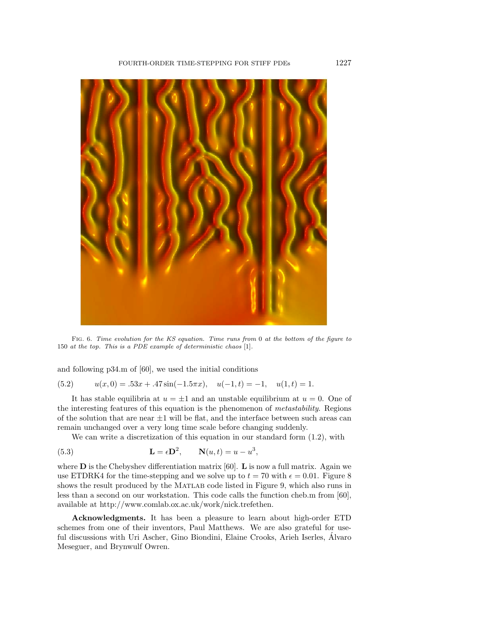FOURTH-ORDER TIME-STEPPING FOR STIFF PDEs 1227



Fig. 6. Time evolution for the KS equation. Time runs from 0 at the bottom of the figure to 150 at the top. This is a PDE example of deterministic chaos [1].

and following p34.m of [60], we used the initial conditions

(5.2) 
$$
u(x,0) = .53x + .47\sin(-1.5\pi x), \quad u(-1,t) = -1, \quad u(1,t) = 1.
$$

It has stable equilibria at  $u = \pm 1$  and an unstable equilibrium at  $u = 0$ . One of the interesting features of this equation is the phenomenon of metastability. Regions of the solution that are near  $\pm 1$  will be flat, and the interface between such areas can remain unchanged over a very long time scale before changing suddenly.

We can write a discretization of this equation in our standard form (1.2), with

(5.3) 
$$
\mathbf{L} = \epsilon \mathbf{D}^2, \qquad \mathbf{N}(u, t) = u - u^3,
$$

where **D** is the Chebyshev differentiation matrix [60]. **L** is now a full matrix. Again we use ETDRK4 for the time-stepping and we solve up to  $t = 70$  with  $\epsilon = 0.01$ . Figure 8 shows the result produced by the Matlab code listed in Figure 9, which also runs in less than a second on our workstation. This code calls the function cheb.m from [60], available at http://www.comlab.ox.ac.uk/work/nick.trefethen.

**Acknowledgments.** It has been a pleasure to learn about high-order ETD schemes from one of their inventors, Paul Matthews. We are also grateful for useful discussions with Uri Ascher, Gino Biondini, Elaine Crooks, Arieh Iserles, Alvaro ´ Meseguer, and Brynwulf Owren.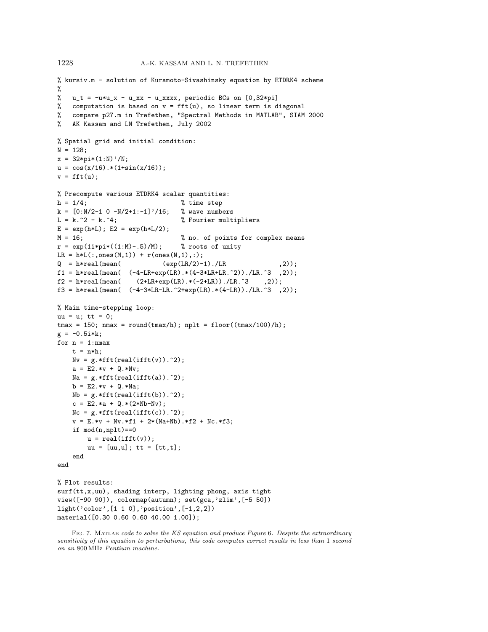```
1228 A.-K. KASSAM AND L. N. TREFETHEN
% kursiv.m - solution of Kuramoto-Sivashinsky equation by ETDRK4 scheme
%
% u_t = -u * u_x - u_x x - u_x x x, periodic BCs on [0, 32 * p]% computation is based on v = fft(u), so linear term is diagonal
% compare p27.m in Trefethen, "Spectral Methods in MATLAB", SIAM 2000
% AK Kassam and LN Trefethen, July 2002
% Spatial grid and initial condition:
N = 128;x = 32*pi*(1:N)'/N;u = cos(x/16) . * (1 + sin(x/16));v = fft(u);% Precompute various ETDRK4 scalar quantities:
h = 1/4; \% time step
k = [0:N/2-1 \ 0 \ -N/2+1:-1]'/16; % wave numbers
L = k.^{2} - k.^{4}; % Fourier multipliers
E = exp(h*L); E2 = exp(h*L/2);M = 16; \% no. of points for complex means
r = \exp(1i * pi * ((1:N) - .5)/M); % roots of unity
LR = h * L(:,ones(M,1)) + r(ones(N,1),:);Q = h*real(mean( (exp(LR/2)-1)./LR ,2));
f1 = h*real(mean( (-4-LR+exp(LR) . *(4-3*LR+LR.^2))./LR.^3 ,2));
f2 = h*real(mean( (2+LR+exp(LR).*(-2+LR))./LR.^3 ,2));
f3 = h*real(mean( (-4-3*LR-LR.^2+exp(LR).*(4-LR))./LR.^3 ,2));
% Main time-stepping loop:
uu = u; tt = 0;
tmax = 150; nmax = round(tmax/h); nplt = floor((tmax/100)/h);
g = -0.5i*k;for n = 1:nmax
   t = n*h;Nv = g.*fft(real(ifft(v)).^2);a = E2.*v + Q.*Nv;Na = g.*fft(real(ifft(a)).^2);b = E2.*v + Q.*Na;Nb = g.*fft(real(ifft(b)).^2);c = E2.*a + Q.*(2*Nb-Nv);Nc = g.*fft(real(ifft(c)).^2);v = E.*v + Nv.*f1 + 2*(Na+Nb).*f2 + Nc.*f3;if mod(n,nplt)==0
       u = real(ifft(v));uu = [uu, u]; tt = [tt, t];end
end
% Plot results:
surf(tt,x,uu), shading interp, lighting phong, axis tight
view([-90 90]), colormap(autumn); set(gca,'zlim',[-5 50])
light('color',[1 1 0],'position',[-1,2,2])
material([0.30 0.60 0.60 40.00 1.00]);
```
FIG. 7. MATLAB code to solve the KS equation and produce Figure 6. Despite the extraordinary sensitivity of this equation to perturbations, this code computes correct results in less than 1 second on an 800 MHz Pentium machine.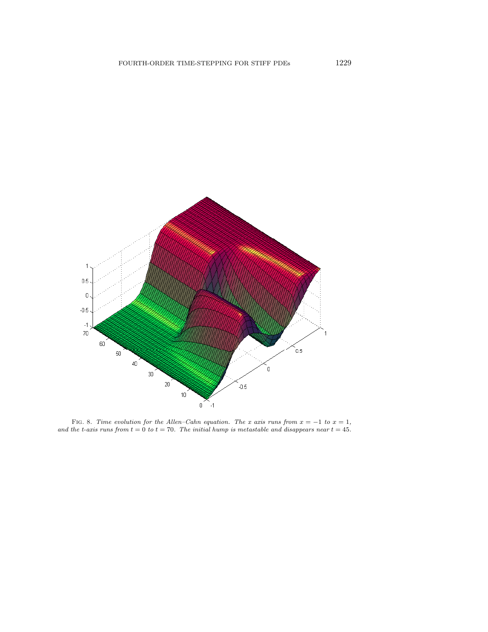

FIG. 8. Time evolution for the Allen–Cahn equation. The x axis runs from  $x = -1$  to  $x = 1$ , and the t-axis runs from  $t = 0$  to  $t = 70$ . The initial hump is metastable and disappears near  $t = 45$ .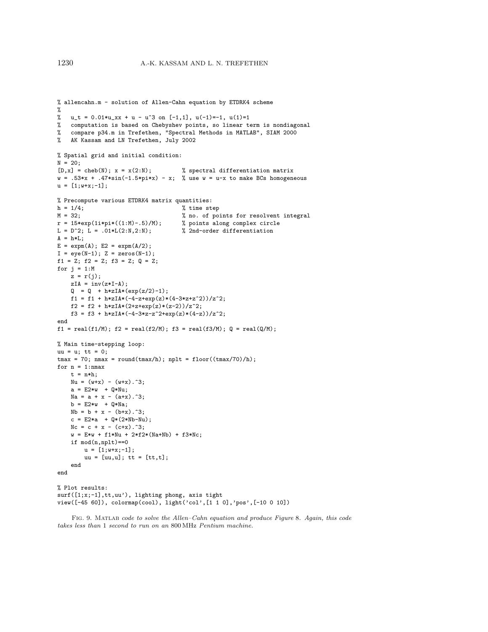```
% allencahn.m - solution of Allen-Cahn equation by ETDRK4 scheme
%
% u_t = 0.01*u_xx + u - u^3 on [-1,1], u(-1)=-1, u(1)=1
% computation is based on Chebyshev points, so linear term is nondiagonal
% compare p34.m in Trefethen, "Spectral Methods in MATLAB", SIAM 2000
% AK Kassam and LN Trefethen, July 2002
% Spatial grid and initial condition:
N = 20;<br>
[D, x] = \text{cheb}(N); x = x(2:N);% spectral differentiation matrix
w = .53*x + .47*sin(-1.5*pi*x) - x; % use w = u-x to make BCs homogeneous
u = [1; w+x; -1];% Precompute various ETDRK4 matrix quantities:
h = 1/4; <br>
M = 32; <br>
\% no. of po
                                      % no. of points for resolvent integral<br>% points along complex circle
r = 15*exp(1i*pi*((1:M)-.5)/M);L = D^2; L = .01 * L(2:N,2:N); % 2nd-order differentiation
A = h * L;E = expm(A); E2 = expm(A/2);I = eye(N-1); Z = zeros(N-1);f1 = Z; f2 = Z; f3 = Z; Q = Z;
for j = 1:Mz = r(j);zIA = inv(zI-A):
    Q = Q + h * zIA * (exp(z/2) - 1);f1 = f1 + h*zIA*(-4-z+exp(z)*(4-3*z+z^2))/z^2;
    f2 = f2 + h*zIA*(2+z+exp(z)*(z-2))/z^2;f3 = f3 + h*zIA*(-4-3*z-z<sup>-</sup>2+exp(z)*(4-z))/z<sup>-</sup>2;
end
f1 = real(f1/M); f2 = real(f2/M); f3 = real(f3/M); Q = real(Q/M);% Main time-stepping loop:
uu = u; tt = 0;tmax = 70; nmax = round(tmax/h); nplt = floor((tmax/70)/h);
for n = 1: nmaxt = n*h;Nu = (w+x) - (w+x) .<sup>3</sup>;
    a = E2*w + Q*Nu;Na = a + x - (a+x) . 3;b = E2*w + Q*Na;Nb = b + x - (b+x).^3;c = E2*a + Q*(2*Nb-Nu);Nc = c + x - (c+x) \cdot 3;w = E*w + f1*Nu + 2*f2*(Na+Nb) + f3*Nc;if mod(n, nplt) == 0u = [1; w+x; -1];uu = [uu,u]; tt = [tt,t];
    end
end
% Plot results:
surf([1;x;-1],tt,uu'), lighting phong, axis tight
view([-45 60]), colormap(cool), light('col',[1 1 0],'pos',[-10 0 10])
```
FIG. 9. MATLAB code to solve the Allen–Cahn equation and produce Figure 8. Again, this code takes less than 1 second to run on an 800 MHz Pentium machine.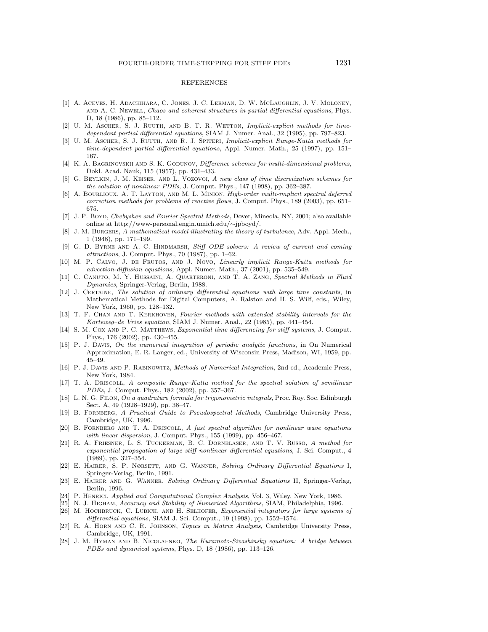## REFERENCES

- [1] A. Aceves, H. Adachihara, C. Jones, J. C. Lerman, D. W. McLaughlin, J. V. Moloney, AND A. C. NEWELL, Chaos and coherent structures in partial differential equations, Phys. D, 18 (1986), pp. 85–112.
- [2] U. M. Ascher, S. J. Ruuth, and B. T. R. Wetton, Implicit-explicit methods for timedependent partial differential equations, SIAM J. Numer. Anal., 32 (1995), pp. 797–823.
- [3] U. M. Ascher, S. J. Ruuth, and R. J. Spiteri, Implicit-explicit Runge-Kutta methods for time-dependent partial differential equations, Appl. Numer. Math., 25 (1997), pp. 151– 167.
- [4] K. A. BAGRINOVSKII AND S. K. GODUNOV, Difference schemes for multi-dimensional problems, Dokl. Acad. Nauk, 115 (1957), pp. 431–433.
- [5] G. Beylkin, J. M. Keiser, and L. Vozovoi, A new class of time discretization schemes for the solution of nonlinear PDEs, J. Comput. Phys., 147 (1998), pp. 362–387.
- [6] A. Bourlioux, A. T. Layton, and M. L. Minion, High-order multi-implicit spectral deferred correction methods for problems of reactive flows, J. Comput. Phys., 189 (2003), pp. 651– 675.
- [7] J. P. Boyd, Chebyshev and Fourier Spectral Methods, Dover, Mineola, NY, 2001; also available online at http://www-personal.engin.umich.edu/∼jpboyd/.
- [8] J. M. BURGERS, A mathematical model illustrating the theory of turbulence, Adv. Appl. Mech., 1 (1948), pp. 171–199.
- [9] G. D. BYRNE AND A. C. HINDMARSH, Stiff ODE solvers: A review of current and coming attractions, J. Comput. Phys., 70 (1987), pp. 1–62.
- [10] M. P. Calvo, J. de Frutos, and J. Novo, Linearly implicit Runge-Kutta methods for advection-diffusion equations, Appl. Numer. Math., 37 (2001), pp. 535–549.
- [11] C. CANUTO, M. Y. HUSSAINI, A. QUARTERONI, AND T. A. ZANG, Spectral Methods in Fluid Dynamics, Springer-Verlag, Berlin, 1988.
- [12] J. Certaine, The solution of ordinary differential equations with large time constants, in Mathematical Methods for Digital Computers, A. Ralston and H. S. Wilf, eds., Wiley, New York, 1960, pp. 128–132.
- [13] T. F. Chan and T. Kerkhoven, Fourier methods with extended stability intervals for the Korteweg–de Vries equation, SIAM J. Numer. Anal., 22 (1985), pp. 441–454.
- [14] S. M. COX AND P. C. MATTHEWS, Exponential time differencing for stiff systems, J. Comput. Phys., 176 (2002), pp. 430–455.
- [15] P. J. Davis, On the numerical integration of periodic analytic functions, in On Numerical Approximation, E. R. Langer, ed., University of Wisconsin Press, Madison, WI, 1959, pp. 45–49.
- [16] P. J. Davis and P. Rabinowitz, Methods of Numerical Integration, 2nd ed., Academic Press, New York, 1984.
- [17] T. A. Driscoll, A composite Runge–Kutta method for the spectral solution of semilinear PDEs, J. Comput. Phys., 182 (2002), pp. 357–367.
- [18] L. N. G. Filon, On a quadrature formula for trigonometric integrals, Proc. Roy. Soc. Edinburgh Sect. A, 49 (1928–1929), pp. 38–47.
- [19] B. FORNBERG, A Practical Guide to Pseudospectral Methods, Cambridge University Press, Cambridge, UK, 1996.
- [20] B. FORNBERG AND T. A. DRISCOLL, A fast spectral algorithm for nonlinear wave equations with linear dispersion, J. Comput. Phys., 155 (1999), pp. 456–467.
- [21] R. A. Friesner, L. S. Tuckerman, B. C. Dornblaser, and T. V. Russo, A method for exponential propagation of large stiff nonlinear differential equations, J. Sci. Comput., 4 (1989), pp. 327–354.
- [22] E. Hairer, S. P. Nørsett, and G. Wanner, Solving Ordinary Differential Equations I, Springer-Verlag, Berlin, 1991.
- [23] E. Hairer and G. Wanner, Solving Ordinary Differential Equations II, Springer-Verlag, Berlin, 1996.
- [24] P. Henrici, Applied and Computational Complex Analysis, Vol. 3, Wiley, New York, 1986.
- [25] N. J. HIGHAM, Accuracy and Stability of Numerical Algorithms, SIAM, Philadelphia, 1996.
- [26] M. HOCHBRUCK, C. LUBICH, AND H. SELHOFER, Exponential integrators for large systems of differential equations, SIAM J. Sci. Comput., 19 (1998), pp. 1552–1574.
- [27] R. A. Horn and C. R. Johnson, Topics in Matrix Analysis, Cambridge University Press, Cambridge, UK, 1991.
- [28] J. M. Hyman and B. Nicolaenko, The Kuramoto-Sivashinsky equation: A bridge between PDEs and dynamical systems, Phys. D, 18 (1986), pp. 113–126.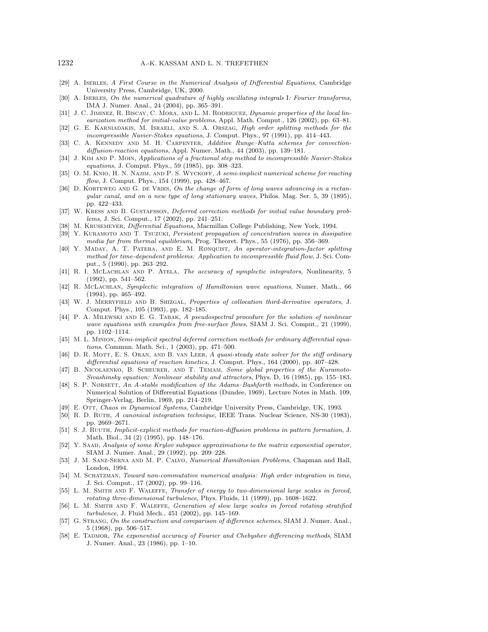- [29] A. ISERLES, A First Course in the Numerical Analysis of Differential Equations, Cambridge University Press, Cambridge, UK, 2000.
- [30] A. ISERLES, On the numerical quadrature of highly oscillating integrals I: Fourier transforms, IMA J. Numer. Anal., 24 (2004), pp. 365–391.
- [31] J. C. JIMINEZ, R. BISCAY, C. MORA, AND L. M. RODRIGUEZ, Dynamic properties of the local linearization method for initial-value problems, Appl. Math. Comput., 126 (2002), pp. 63–81.
- [32] G. E. Karniadakis, M. Israeli, and S. A. Orszag, High order splitting methods for the incompressible Navier-Stokes equations, J. Comput. Phys., 97 (1991), pp. 414–443.
- [33] C. A. KENNEDY AND M. H. CARPENTER, Additive Runge–Kutta schemes for convectiondiffusion-reaction equations, Appl. Numer. Math., 44 (2003), pp. 139–181.
- [34] J. KIM AND P. MOIN, Applications of a fractional step method to incompressible Navier-Stokes equations, J. Comput. Phys., 59 (1985), pp. 308–323.
- [35] O. M. KNIO, H. N. NAJIM, AND P. S. WYCKOFF, A semi-implicit numerical scheme for reacting flow, J. Comput. Phys., 154 (1999), pp. 428-467.
- [36] D. KORTEWEG AND G. DE VRIES, On the change of form of long waves advancing in a rectangular canal, and on a new type of long stationary waves, Philos. Mag. Ser. 5, 39 (1895), pp. 422–433.
- [37] W. KRESS AND B. GUSTAFSSON, *Deferred correction methods for initial value boundary prob*lems, J. Sci. Comput., 17 (2002), pp. 241–251.
- [38] M. KRUSEMEYER, *Differential Equations*, Macmillan College Publishing, New York, 1994.
- [39] Y. Kuramoto and T. Tsuzuki, Persistent propagation of concentration waves in dissipative media far from thermal equilibrium, Prog. Theoret. Phys., 55 (1976), pp. 356–369.
- [40] Y. Maday, A. T. Patera, and E. M. Rønquist, An operator-integration-factor splitting method for time-dependent problems: Application to incompressible fluid flow, J. Sci. Comput., 5 (1990), pp. 263–292.
- [41] R. I. McLachlan and P. ATELA, The accuracy of symplectic integrators, Nonlinearity, 5 (1992), pp. 541–562.
- [42] R. McLachlan, Symplectic integration of Hamiltonian wave equations, Numer. Math., 66 (1994), pp. 465–492.
- [43] W. J. MERRYFIELD AND B. SHIZGAL, Properties of collocation third-derivative operators, J. Comput. Phys., 105 (1993), pp. 182–185.
- [44] P. A. MILEWSKI AND E. G. TABAK, A pseudospectral procedure for the solution of nonlinear wave equations with examples from free-surface flows, SIAM J. Sci. Comput., 21 (1999), pp. 1102–1114.
- [45] M. L. MINION, Semi-implicit spectral deferred correction methods for ordinary differential equations, Commun. Math. Sci., 1 (2003), pp. 471–500.
- [46] D. R. MOTT, E. S. ORAN, AND B. VAN LEER, A quasi-steady state solver for the stiff ordinary differential equations of reaction kinetics, J. Comput. Phys., 164 (2000), pp. 407–428.
- [47] B. NICOLAENKO, B. SCHEURER, AND T. TEMAM, Some global properties of the Kuramoto-Sivashinsky equation: Nonlinear stability and attractors, Phys. D, 16 (1985), pp. 155–183.
- [48] S. P. NØRSETT, An A-stable modification of the Adams–Bashforth methods, in Conference on Numerical Solution of Differential Equations (Dundee, 1969), Lecture Notes in Math. 109, Springer-Verlag, Berlin, 1969, pp. 214–219.
- [49] E. OTT, Chaos in Dynamical Systems, Cambridge University Press, Cambridge, UK, 1993.
- [50] R. D. Ruth, A canonical integration technique, IEEE Trans. Nuclear Science, NS-30 (1983), pp. 2669–2671.
- [51] S. J. Ruuth, Implicit-explicit methods for reaction-diffusion problems in pattern formation, J. Math. Biol., 34 (2) (1995), pp. 148–176.
- [52] Y. SAAD, Analysis of some Krylov subspace approximations to the matrix exponential operator, SIAM J. Numer. Anal., 29 (1992), pp. 209–228.
- [53] J. M. Sanz-Serna and M. P. Calvo, Numerical Hamiltonian Problems, Chapman and Hall, London, 1994.
- [54] M. SCHATZMAN, Toward non-commutative numerical analysis: High order integration in time, J. Sci. Comput., 17 (2002), pp. 99–116.
- [55] L. M. SMITH AND F. WALEFFE, Transfer of energy to two-dimensional large scales in forced, rotating three-dimensional turbulence, Phys. Fluids, 11 (1999), pp. 1608–1622.
- [56] L. M. SMITH AND F. WALEFFE, Generation of slow large scales in forced rotating stratified turbulence, J. Fluid Mech., 451 (2002), pp. 145–169.
- [57] G. STRANG, On the construction and comparison of difference schemes, SIAM J. Numer. Anal., 5 (1968), pp. 506–517.
- [58] E. TADMOR, The exponential accuracy of Fourier and Chebyshev differencing methods, SIAM J. Numer. Anal., 23 (1986), pp. 1–10.